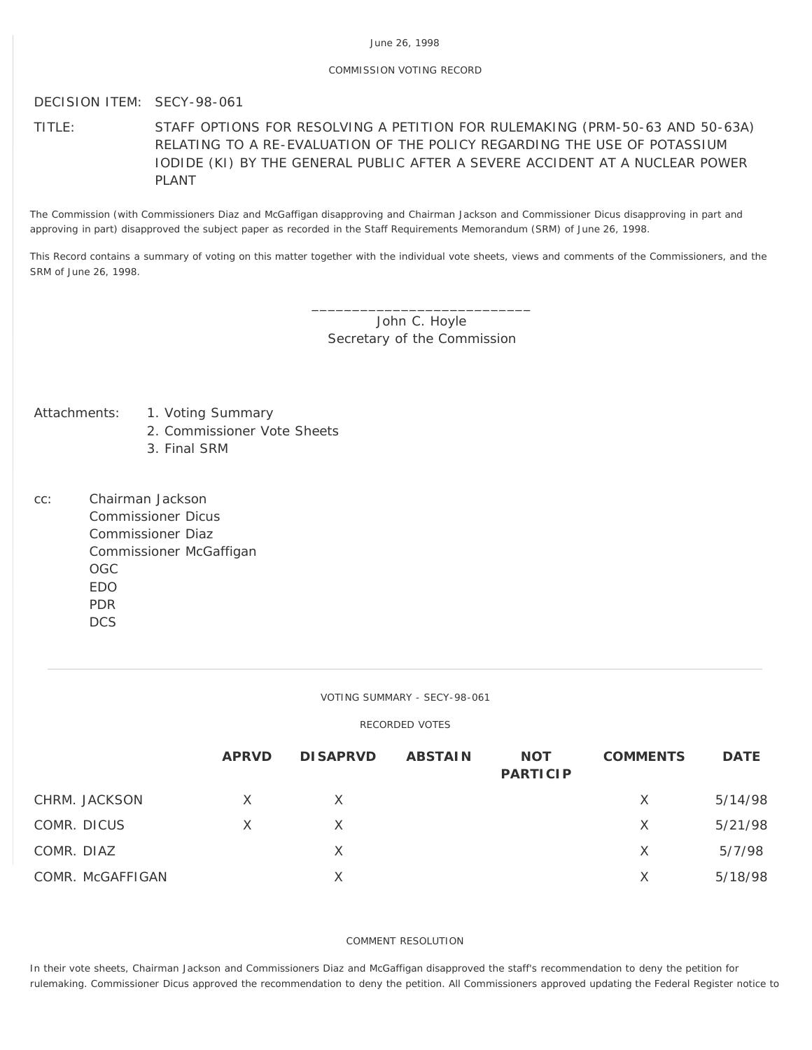## COMMISSION VOTING RECORD

# DECISION ITEM: SECY-98-061

TITLE: STAFF OPTIONS FOR RESOLVING A PETITION FOR RULEMAKING (PRM-50-63 AND 50-63A) RELATING TO A RE-EVALUATION OF THE POLICY REGARDING THE USE OF POTASSIUM IODIDE (KI) BY THE GENERAL PUBLIC AFTER A SEVERE ACCIDENT AT A NUCLEAR POWER PLANT

The Commission (with Commissioners Diaz and McGaffigan disapproving and Chairman Jackson and Commissioner Dicus disapproving in part and approving in part) disapproved the subject paper as recorded in the Staff Requirements Memorandum (SRM) of June 26, 1998.

This Record contains a summary of voting on this matter together with the individual vote sheets, views and comments of the Commissioners, and the SRM of June 26, 1998.

> John C. Hoyle Secretary of the Commission

\_\_\_\_\_\_\_\_\_\_\_\_\_\_\_\_\_\_\_\_\_\_\_\_\_\_\_

- Attachments: 1. Voting Summary
	- 2. Commissioner Vote Sheets
	- 3. Final SRM
- cc: Chairman Jackson Commissioner Dicus Commissioner Diaz Commissioner McGaffigan OGC EDO PDR **DCS**

VOTING SUMMARY - SECY-98-061

## RECORDED VOTES

|                  | <b>APRVD</b> | <b>DISAPRVD</b> | <b>ABSTAIN</b> | <b>NOT</b><br><b>PARTICIP</b> | <b>COMMENTS</b> | <b>DATE</b> |
|------------------|--------------|-----------------|----------------|-------------------------------|-----------------|-------------|
| CHRM. JACKSON    | X            | X.              |                |                               | X               | 5/14/98     |
| COMR. DICUS      | X            | X               |                |                               | X               | 5/21/98     |
| COMR. DIAZ       |              | X               |                |                               | X               | 5/7/98      |
| COMR. McGAFFIGAN |              | X               |                |                               | X               | 5/18/98     |

### COMMENT RESOLUTION

In their vote sheets, Chairman Jackson and Commissioners Diaz and McGaffigan disapproved the staff's recommendation to deny the petition for rulemaking. Commissioner Dicus approved the recommendation to deny the petition. All Commissioners approved updating the Federal Register notice to